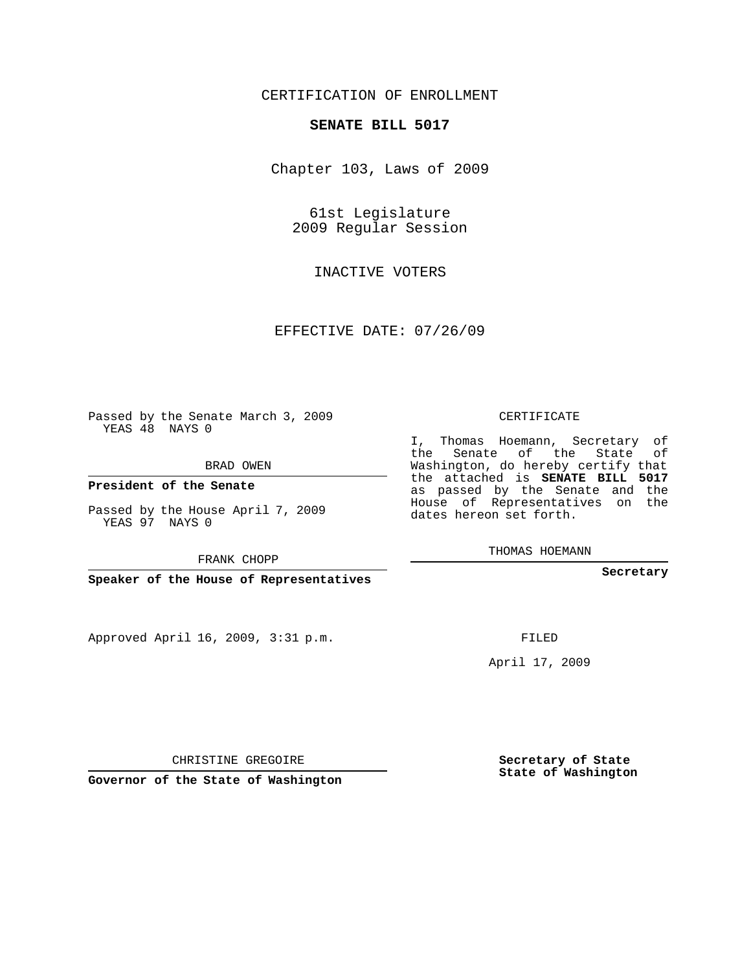## CERTIFICATION OF ENROLLMENT

## **SENATE BILL 5017**

Chapter 103, Laws of 2009

61st Legislature 2009 Regular Session

INACTIVE VOTERS

EFFECTIVE DATE: 07/26/09

Passed by the Senate March 3, 2009 YEAS 48 NAYS 0

BRAD OWEN

**President of the Senate**

Passed by the House April 7, 2009 YEAS 97 NAYS 0

FRANK CHOPP

**Speaker of the House of Representatives**

Approved April 16, 2009, 3:31 p.m.

CERTIFICATE

I, Thomas Hoemann, Secretary of the Senate of the State of Washington, do hereby certify that the attached is **SENATE BILL 5017** as passed by the Senate and the House of Representatives on the dates hereon set forth.

THOMAS HOEMANN

**Secretary**

FILED

April 17, 2009

CHRISTINE GREGOIRE

**Governor of the State of Washington**

**Secretary of State State of Washington**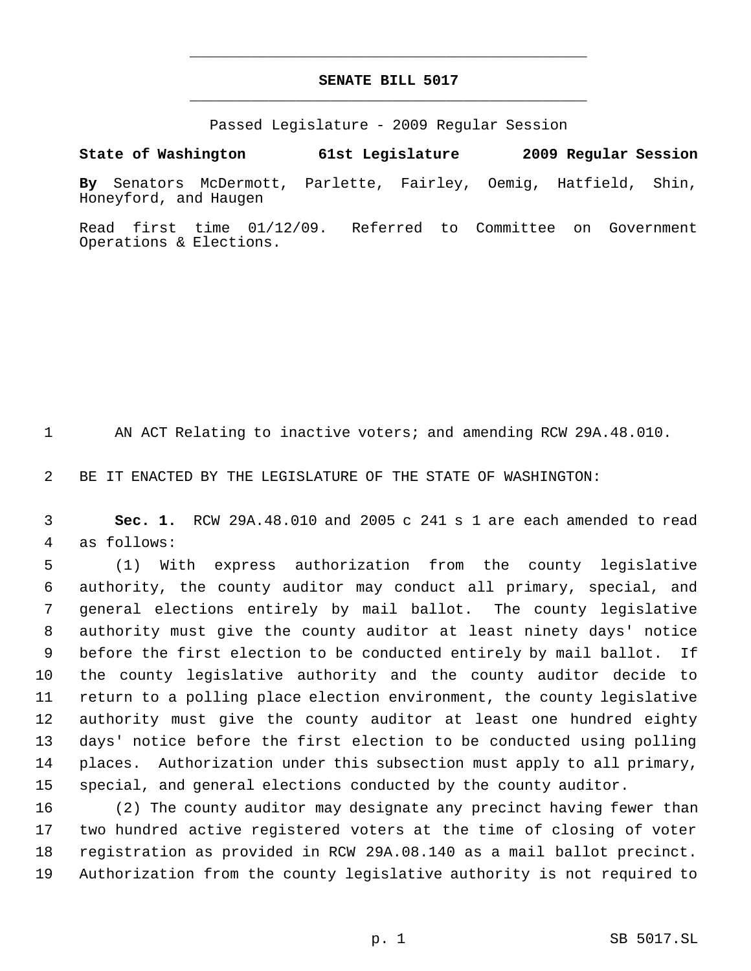## **SENATE BILL 5017** \_\_\_\_\_\_\_\_\_\_\_\_\_\_\_\_\_\_\_\_\_\_\_\_\_\_\_\_\_\_\_\_\_\_\_\_\_\_\_\_\_\_\_\_\_

\_\_\_\_\_\_\_\_\_\_\_\_\_\_\_\_\_\_\_\_\_\_\_\_\_\_\_\_\_\_\_\_\_\_\_\_\_\_\_\_\_\_\_\_\_

Passed Legislature - 2009 Regular Session

**By** Senators McDermott, Parlette, Fairley, Oemig, Hatfield, Shin, Honeyford, and Haugen

**State of Washington 61st Legislature 2009 Regular Session**

Read first time 01/12/09. Referred to Committee on Government Operations & Elections.

AN ACT Relating to inactive voters; and amending RCW 29A.48.010.

BE IT ENACTED BY THE LEGISLATURE OF THE STATE OF WASHINGTON:

 **Sec. 1.** RCW 29A.48.010 and 2005 c 241 s 1 are each amended to read as follows:

 (1) With express authorization from the county legislative authority, the county auditor may conduct all primary, special, and general elections entirely by mail ballot. The county legislative authority must give the county auditor at least ninety days' notice before the first election to be conducted entirely by mail ballot. If the county legislative authority and the county auditor decide to return to a polling place election environment, the county legislative authority must give the county auditor at least one hundred eighty days' notice before the first election to be conducted using polling places. Authorization under this subsection must apply to all primary, special, and general elections conducted by the county auditor.

 (2) The county auditor may designate any precinct having fewer than two hundred active registered voters at the time of closing of voter registration as provided in RCW 29A.08.140 as a mail ballot precinct. Authorization from the county legislative authority is not required to